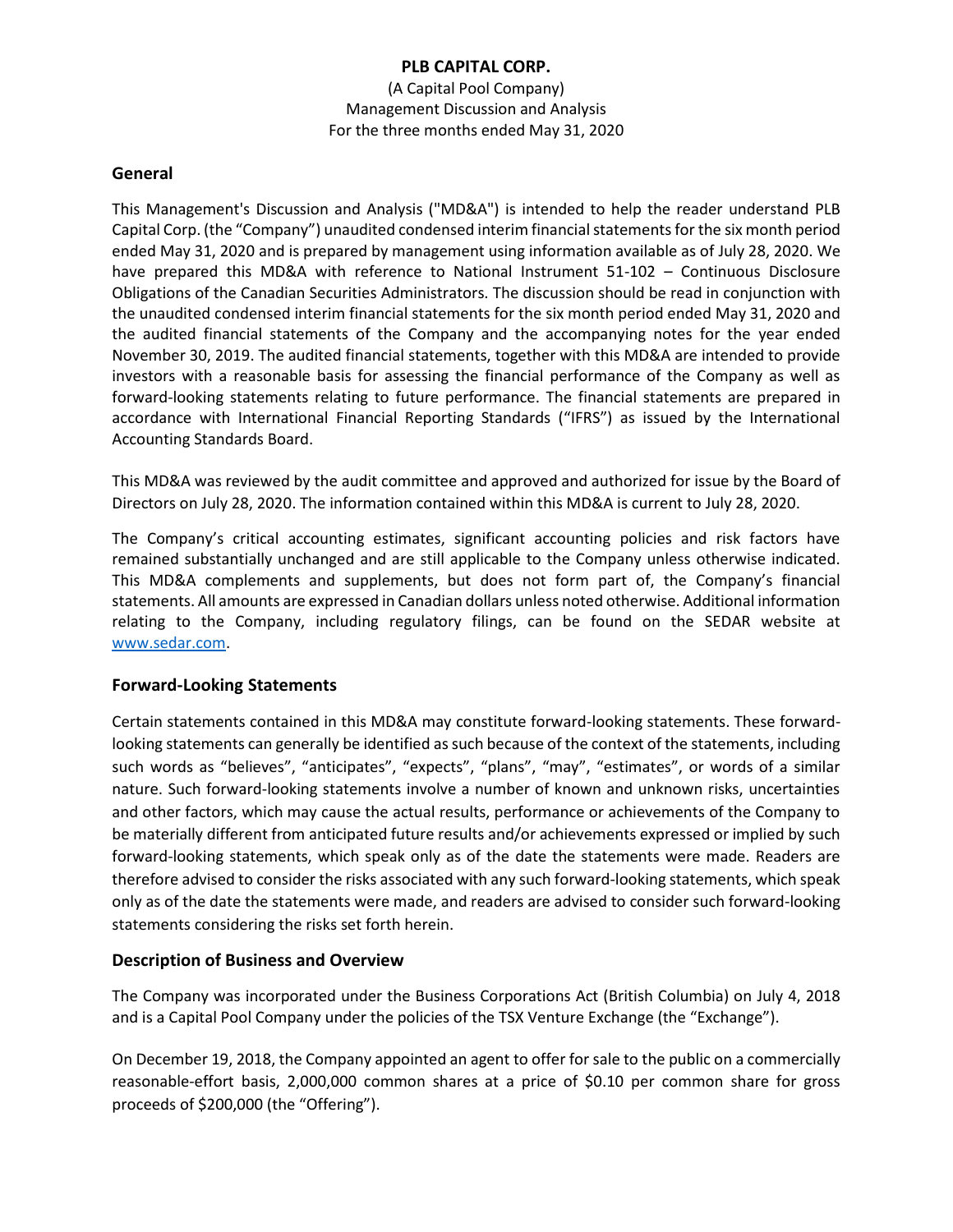(A Capital Pool Company) Management Discussion and Analysis For the three months ended May 31, 2020

#### **General**

This Management's Discussion and Analysis ("MD&A") is intended to help the reader understand PLB Capital Corp. (the "Company") unaudited condensed interim financial statements for the six month period ended May 31, 2020 and is prepared by management using information available as of July 28, 2020. We have prepared this MD&A with reference to National Instrument 51-102 – Continuous Disclosure Obligations of the Canadian Securities Administrators. The discussion should be read in conjunction with the unaudited condensed interim financial statements for the six month period ended May 31, 2020 and the audited financial statements of the Company and the accompanying notes for the year ended November 30, 2019. The audited financial statements, together with this MD&A are intended to provide investors with a reasonable basis for assessing the financial performance of the Company as well as forward-looking statements relating to future performance. The financial statements are prepared in accordance with International Financial Reporting Standards ("IFRS") as issued by the International Accounting Standards Board.

This MD&A was reviewed by the audit committee and approved and authorized for issue by the Board of Directors on July 28, 2020. The information contained within this MD&A is current to July 28, 2020.

The Company's critical accounting estimates, significant accounting policies and risk factors have remained substantially unchanged and are still applicable to the Company unless otherwise indicated. This MD&A complements and supplements, but does not form part of, the Company's financial statements. All amounts are expressed in Canadian dollars unless noted otherwise. Additional information relating to the Company, including regulatory filings, can be found on the SEDAR website at [www.sedar.com.](http://www.sedar.com/)

### **Forward-Looking Statements**

Certain statements contained in this MD&A may constitute forward-looking statements. These forwardlooking statements can generally be identified as such because of the context of the statements, including such words as "believes", "anticipates", "expects", "plans", "may", "estimates", or words of a similar nature. Such forward-looking statements involve a number of known and unknown risks, uncertainties and other factors, which may cause the actual results, performance or achievements of the Company to be materially different from anticipated future results and/or achievements expressed or implied by such forward-looking statements, which speak only as of the date the statements were made. Readers are therefore advised to consider the risks associated with any such forward-looking statements, which speak only as of the date the statements were made, and readers are advised to consider such forward-looking statements considering the risks set forth herein.

### **Description of Business and Overview**

The Company was incorporated under the Business Corporations Act (British Columbia) on July 4, 2018 and is a Capital Pool Company under the policies of the TSX Venture Exchange (the "Exchange").

On December 19, 2018, the Company appointed an agent to offer for sale to the public on a commercially reasonable-effort basis, 2,000,000 common shares at a price of \$0.10 per common share for gross proceeds of \$200,000 (the "Offering").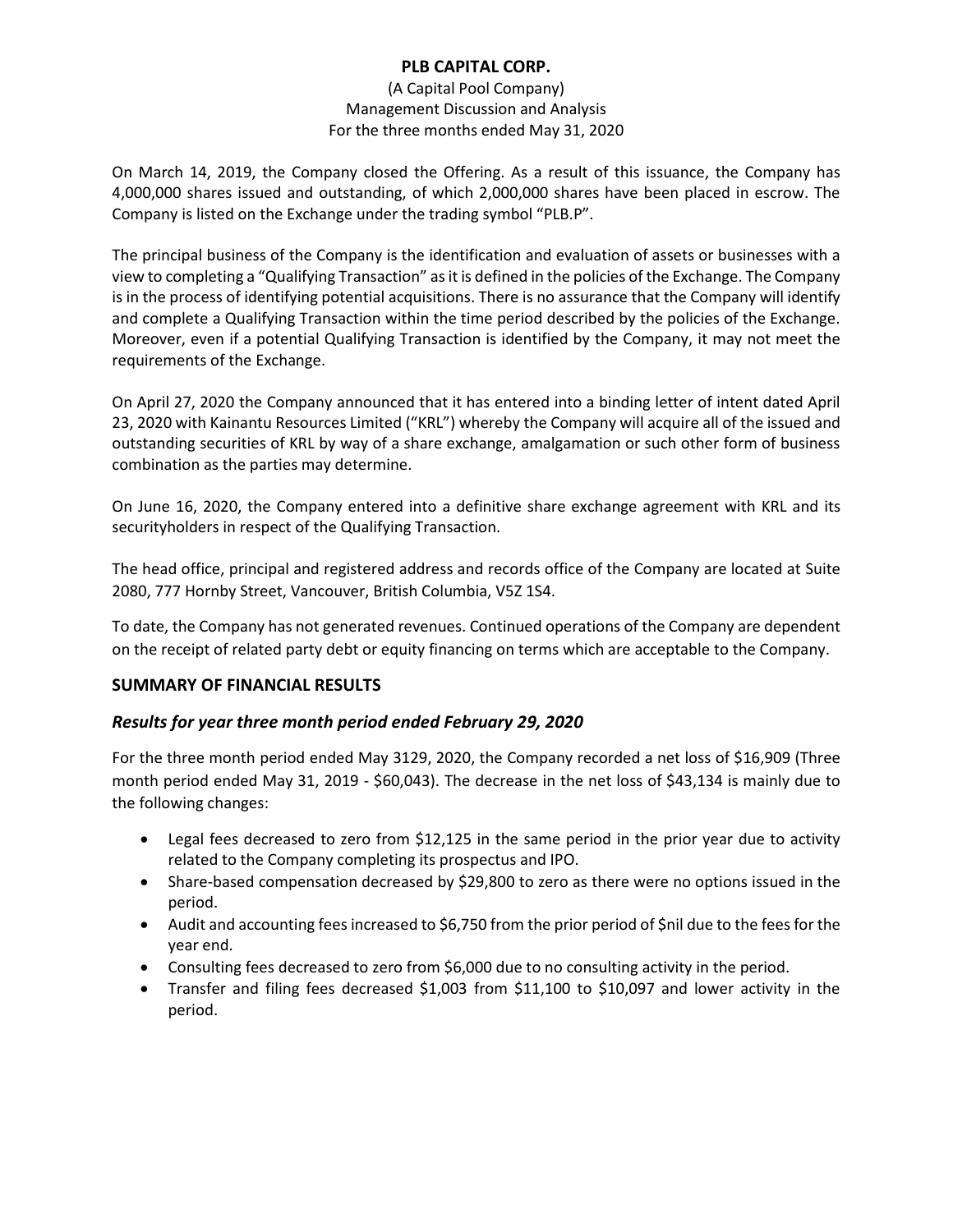#### (A Capital Pool Company) Management Discussion and Analysis For the three months ended May 31, 2020

On March 14, 2019, the Company closed the Offering. As a result of this issuance, the Company has 4,000,000 shares issued and outstanding, of which 2,000,000 shares have been placed in escrow. The Company is listed on the Exchange under the trading symbol "PLB.P".

The principal business of the Company is the identification and evaluation of assets or businesses with a view to completing a "Qualifying Transaction" as it is defined in the policies of the Exchange. The Company is in the process of identifying potential acquisitions. There is no assurance that the Company will identify and complete a Qualifying Transaction within the time period described by the policies of the Exchange. Moreover, even if a potential Qualifying Transaction is identified by the Company, it may not meet the requirements of the Exchange.

On April 27, 2020 the Company announced that it has entered into a binding letter of intent dated April 23, 2020 with Kainantu Resources Limited ("KRL") whereby the Company will acquire all of the issued and outstanding securities of KRL by way of a share exchange, amalgamation or such other form of business combination as the parties may determine.

On June 16, 2020, the Company entered into a definitive share exchange agreement with KRL and its securityholders in respect of the Qualifying Transaction.

The head office, principal and registered address and records office of the Company are located at Suite 2080, 777 Hornby Street, Vancouver, British Columbia, V5Z 1S4.

To date, the Company has not generated revenues. Continued operations of the Company are dependent on the receipt of related party debt or equity financing on terms which are acceptable to the Company.

### **SUMMARY OF FINANCIAL RESULTS**

### *Results for year three month period ended February 29, 2020*

For the three month period ended May 3129, 2020, the Company recorded a net loss of \$16,909 (Three month period ended May 31, 2019 - \$60,043). The decrease in the net loss of \$43,134 is mainly due to the following changes:

- Legal fees decreased to zero from \$12,125 in the same period in the prior year due to activity related to the Company completing its prospectus and IPO.
- Share-based compensation decreased by \$29,800 to zero as there were no options issued in the period.
- Audit and accounting fees increased to \$6,750 from the prior period of \$nil due to the fees for the year end.
- Consulting fees decreased to zero from \$6,000 due to no consulting activity in the period.
- Transfer and filing fees decreased \$1,003 from \$11,100 to \$10,097 and lower activity in the period.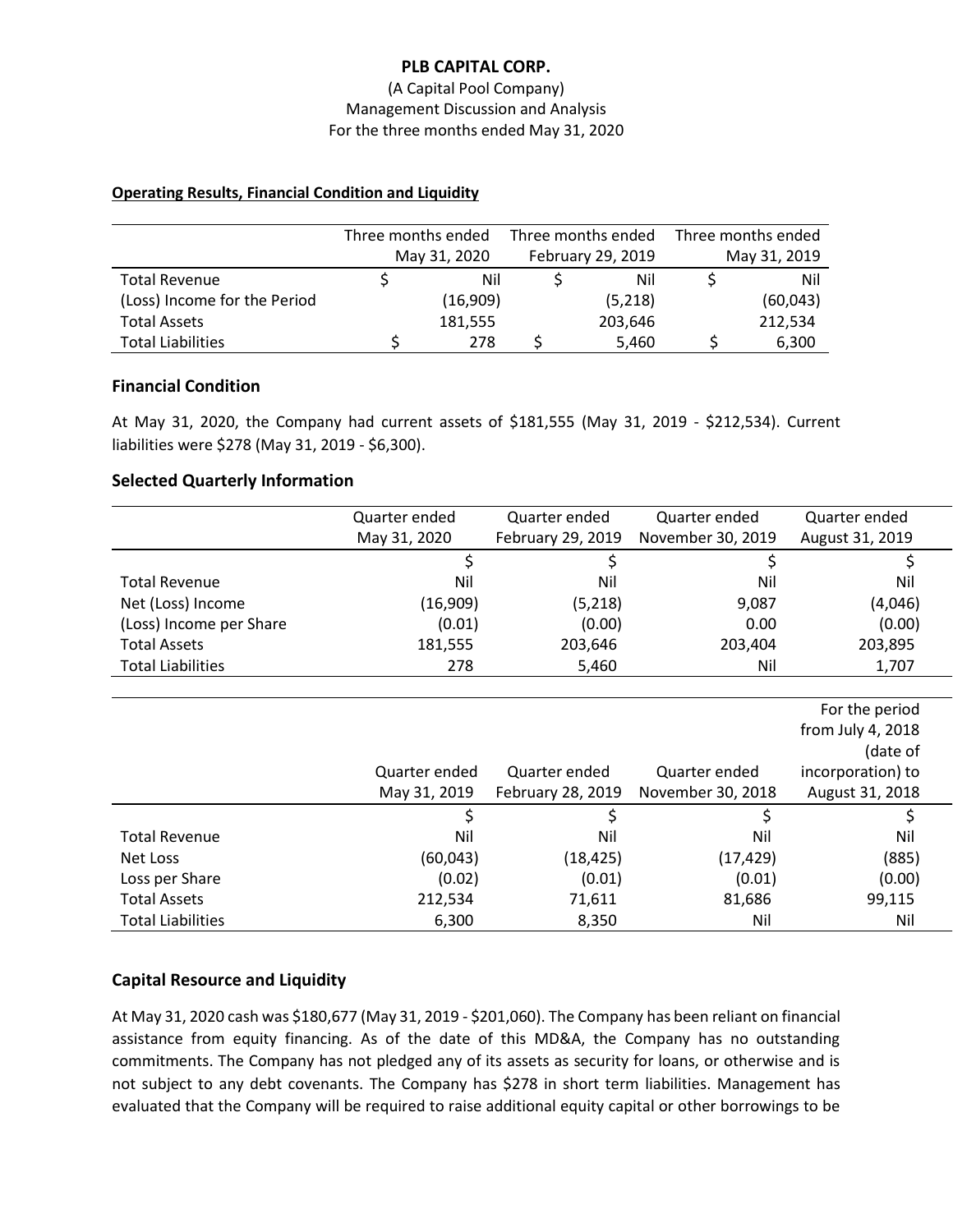#### (A Capital Pool Company) Management Discussion and Analysis For the three months ended May 31, 2020

#### **Operating Results, Financial Condition and Liquidity**

|                              | Three months ended |              | Three months ended |                   | Three months ended |              |
|------------------------------|--------------------|--------------|--------------------|-------------------|--------------------|--------------|
|                              |                    | May 31, 2020 |                    | February 29, 2019 |                    | May 31, 2019 |
| <b>Total Revenue</b>         |                    | Nil          |                    | Nil               |                    | Nil          |
| (Loss) Income for the Period |                    | (16,909)     |                    | (5,218)           |                    | (60, 043)    |
| <b>Total Assets</b>          |                    | 181,555      |                    | 203,646           |                    | 212,534      |
| <b>Total Liabilities</b>     |                    | 278          |                    | 5,460             |                    | 6,300        |

#### **Financial Condition**

At May 31, 2020, the Company had current assets of \$181,555 (May 31, 2019 - \$212,534). Current liabilities were \$278 (May 31, 2019 - \$6,300).

#### **Selected Quarterly Information**

|                          | Quarter ended | Quarter ended     | Quarter ended     | Quarter ended   |  |
|--------------------------|---------------|-------------------|-------------------|-----------------|--|
|                          | May 31, 2020  | February 29, 2019 | November 30, 2019 | August 31, 2019 |  |
|                          |               |                   |                   |                 |  |
| Total Revenue            | Nil           | Nil               | Nil               | Nil             |  |
| Net (Loss) Income        | (16,909)      | (5,218)           | 9,087             | (4,046)         |  |
| (Loss) Income per Share  | (0.01)        | (0.00)            | 0.00              | (0.00)          |  |
| <b>Total Assets</b>      | 181,555       | 203,646           | 203,404           | 203,895         |  |
| <b>Total Liabilities</b> | 278           | 5,460             | Nil               | 1,707           |  |
|                          |               |                   |                   |                 |  |

|                          |               |                   |                   | For the period    |
|--------------------------|---------------|-------------------|-------------------|-------------------|
|                          |               |                   |                   | from July 4, 2018 |
|                          |               |                   |                   | (date of          |
|                          | Quarter ended | Quarter ended     | Quarter ended     | incorporation) to |
|                          | May 31, 2019  | February 28, 2019 | November 30, 2018 | August 31, 2018   |
|                          |               |                   |                   |                   |
| <b>Total Revenue</b>     | Nil           | Nil               | Nil               | Nil               |
| Net Loss                 | (60, 043)     | (18,425)          | (17, 429)         | (885)             |
| Loss per Share           | (0.02)        | (0.01)            | (0.01)            | (0.00)            |
| <b>Total Assets</b>      | 212,534       | 71,611            | 81,686            | 99,115            |
| <b>Total Liabilities</b> | 6,300         | 8,350             | Nil               | Nil               |

### **Capital Resource and Liquidity**

At May 31, 2020 cash was \$180,677 (May 31, 2019 - \$201,060). The Company has been reliant on financial assistance from equity financing. As of the date of this MD&A, the Company has no outstanding commitments. The Company has not pledged any of its assets as security for loans, or otherwise and is not subject to any debt covenants. The Company has \$278 in short term liabilities. Management has evaluated that the Company will be required to raise additional equity capital or other borrowings to be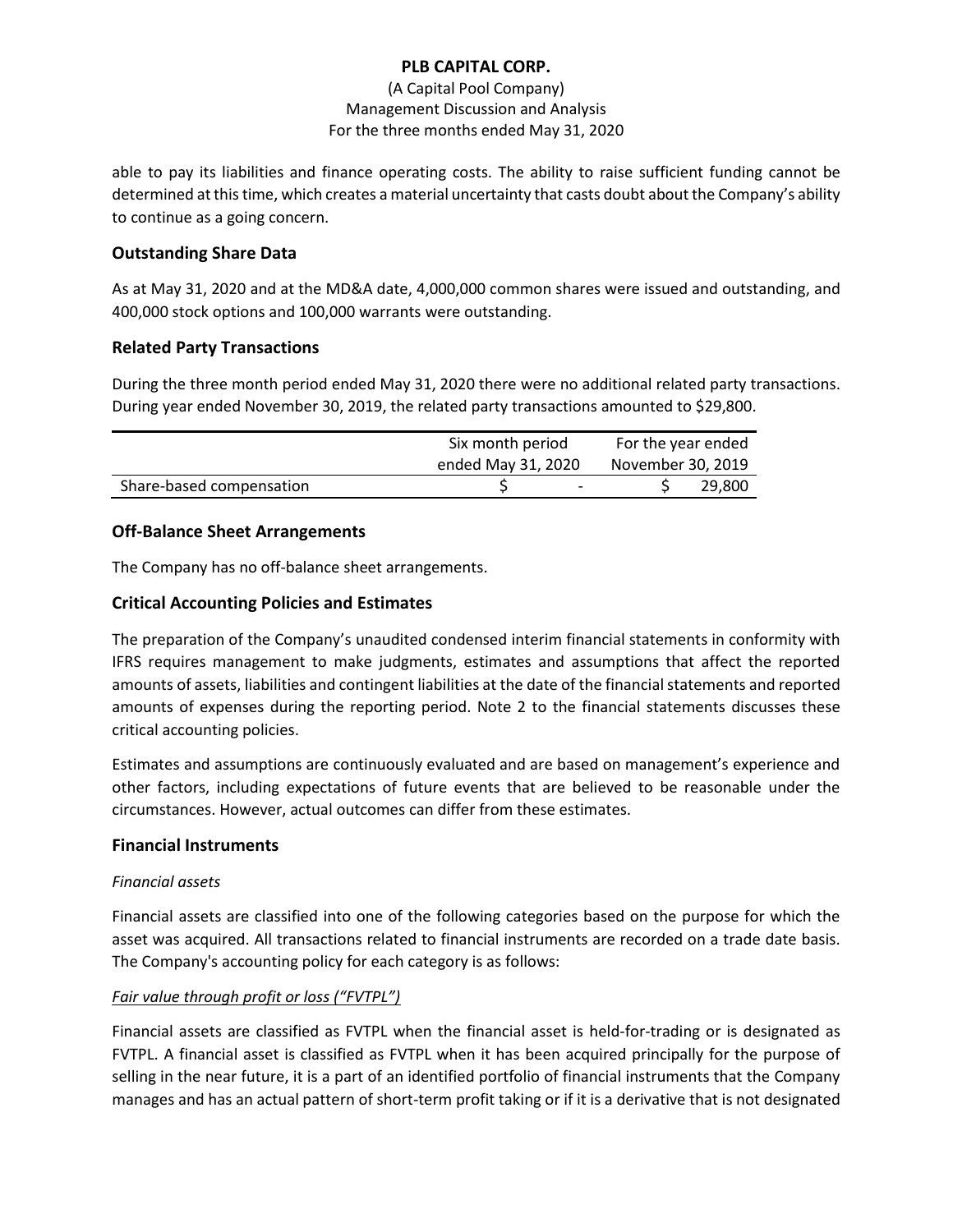### (A Capital Pool Company) Management Discussion and Analysis For the three months ended May 31, 2020

able to pay its liabilities and finance operating costs. The ability to raise sufficient funding cannot be determined at this time, which creates a material uncertainty that casts doubt about the Company's ability to continue as a going concern.

# **Outstanding Share Data**

As at May 31, 2020 and at the MD&A date, 4,000,000 common shares were issued and outstanding, and 400,000 stock options and 100,000 warrants were outstanding.

### **Related Party Transactions**

During the three month period ended May 31, 2020 there were no additional related party transactions. During year ended November 30, 2019, the related party transactions amounted to \$29,800.

|                          | Six month period   |                          | For the year ended |        |  |
|--------------------------|--------------------|--------------------------|--------------------|--------|--|
|                          | ended May 31, 2020 |                          | November 30, 2019  |        |  |
| Share-based compensation |                    | $\overline{\phantom{0}}$ |                    | 29,800 |  |

## **Off-Balance Sheet Arrangements**

The Company has no off-balance sheet arrangements.

## **Critical Accounting Policies and Estimates**

The preparation of the Company's unaudited condensed interim financial statements in conformity with IFRS requires management to make judgments, estimates and assumptions that affect the reported amounts of assets, liabilities and contingent liabilities at the date of the financial statements and reported amounts of expenses during the reporting period. Note 2 to the financial statements discusses these critical accounting policies.

Estimates and assumptions are continuously evaluated and are based on management's experience and other factors, including expectations of future events that are believed to be reasonable under the circumstances. However, actual outcomes can differ from these estimates.

### **Financial Instruments**

### *Financial assets*

Financial assets are classified into one of the following categories based on the purpose for which the asset was acquired. All transactions related to financial instruments are recorded on a trade date basis. The Company's accounting policy for each category is as follows:

### *Fair value through profit or loss ("FVTPL")*

Financial assets are classified as FVTPL when the financial asset is held-for-trading or is designated as FVTPL. A financial asset is classified as FVTPL when it has been acquired principally for the purpose of selling in the near future, it is a part of an identified portfolio of financial instruments that the Company manages and has an actual pattern of short-term profit taking or if it is a derivative that is not designated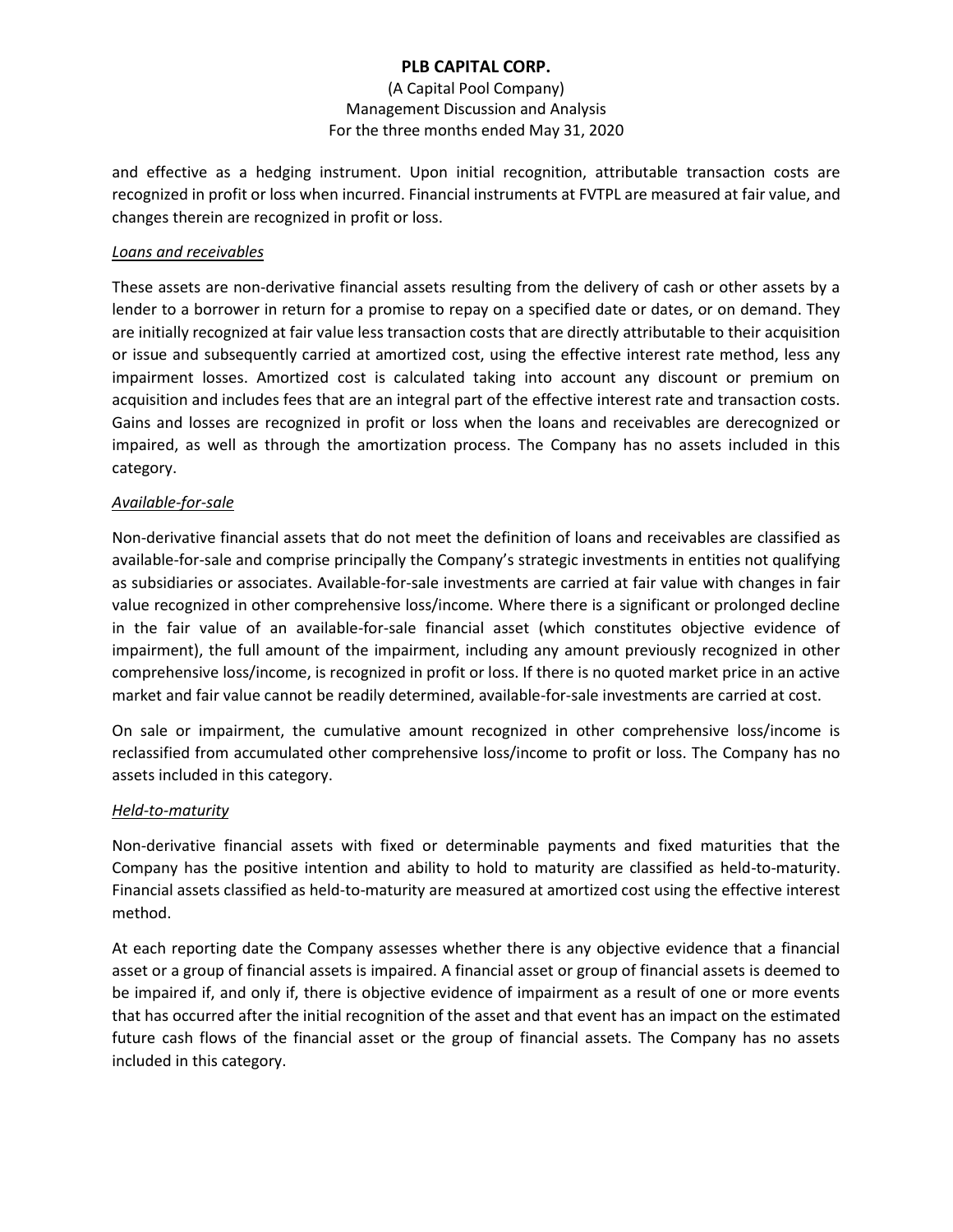#### (A Capital Pool Company) Management Discussion and Analysis For the three months ended May 31, 2020

and effective as a hedging instrument. Upon initial recognition, attributable transaction costs are recognized in profit or loss when incurred. Financial instruments at FVTPL are measured at fair value, and changes therein are recognized in profit or loss.

#### *Loans and receivables*

These assets are non-derivative financial assets resulting from the delivery of cash or other assets by a lender to a borrower in return for a promise to repay on a specified date or dates, or on demand. They are initially recognized at fair value less transaction costs that are directly attributable to their acquisition or issue and subsequently carried at amortized cost, using the effective interest rate method, less any impairment losses. Amortized cost is calculated taking into account any discount or premium on acquisition and includes fees that are an integral part of the effective interest rate and transaction costs. Gains and losses are recognized in profit or loss when the loans and receivables are derecognized or impaired, as well as through the amortization process. The Company has no assets included in this category.

#### *Available-for-sale*

Non-derivative financial assets that do not meet the definition of loans and receivables are classified as available-for-sale and comprise principally the Company's strategic investments in entities not qualifying as subsidiaries or associates. Available-for-sale investments are carried at fair value with changes in fair value recognized in other comprehensive loss/income. Where there is a significant or prolonged decline in the fair value of an available-for-sale financial asset (which constitutes objective evidence of impairment), the full amount of the impairment, including any amount previously recognized in other comprehensive loss/income, is recognized in profit or loss. If there is no quoted market price in an active market and fair value cannot be readily determined, available-for-sale investments are carried at cost.

On sale or impairment, the cumulative amount recognized in other comprehensive loss/income is reclassified from accumulated other comprehensive loss/income to profit or loss. The Company has no assets included in this category.

#### *Held-to-maturity*

Non-derivative financial assets with fixed or determinable payments and fixed maturities that the Company has the positive intention and ability to hold to maturity are classified as held-to-maturity. Financial assets classified as held-to-maturity are measured at amortized cost using the effective interest method.

At each reporting date the Company assesses whether there is any objective evidence that a financial asset or a group of financial assets is impaired. A financial asset or group of financial assets is deemed to be impaired if, and only if, there is objective evidence of impairment as a result of one or more events that has occurred after the initial recognition of the asset and that event has an impact on the estimated future cash flows of the financial asset or the group of financial assets. The Company has no assets included in this category.